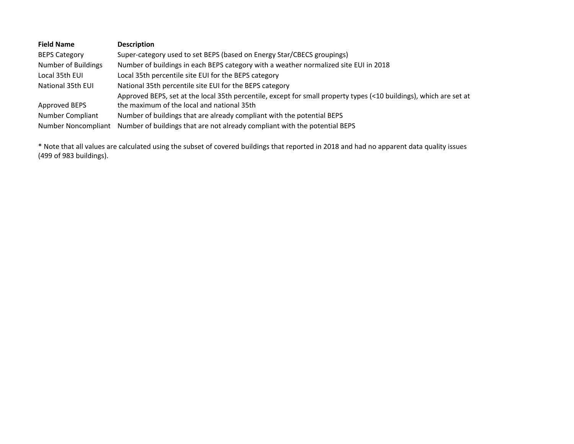| <b>Field Name</b>    | <b>Description</b>                                                                                                 |
|----------------------|--------------------------------------------------------------------------------------------------------------------|
| <b>BEPS Category</b> | Super-category used to set BEPS (based on Energy Star/CBECS groupings)                                             |
| Number of Buildings  | Number of buildings in each BEPS category with a weather normalized site EUI in 2018                               |
| Local 35th EUI       | Local 35th percentile site EUI for the BEPS category                                                               |
| National 35th EUI    | National 35th percentile site EUI for the BEPS category                                                            |
|                      | Approved BEPS, set at the local 35th percentile, except for small property types (<10 buildings), which are set at |
| Approved BEPS        | the maximum of the local and national 35th                                                                         |
| Number Compliant     | Number of buildings that are already compliant with the potential BEPS                                             |
| Number Noncompliant  | Number of buildings that are not already compliant with the potential BEPS                                         |

\* Note that all values are calculated using the subset of covered buildings that reported in 2018 and had no apparent data quality issues (499 of 983 buildings).